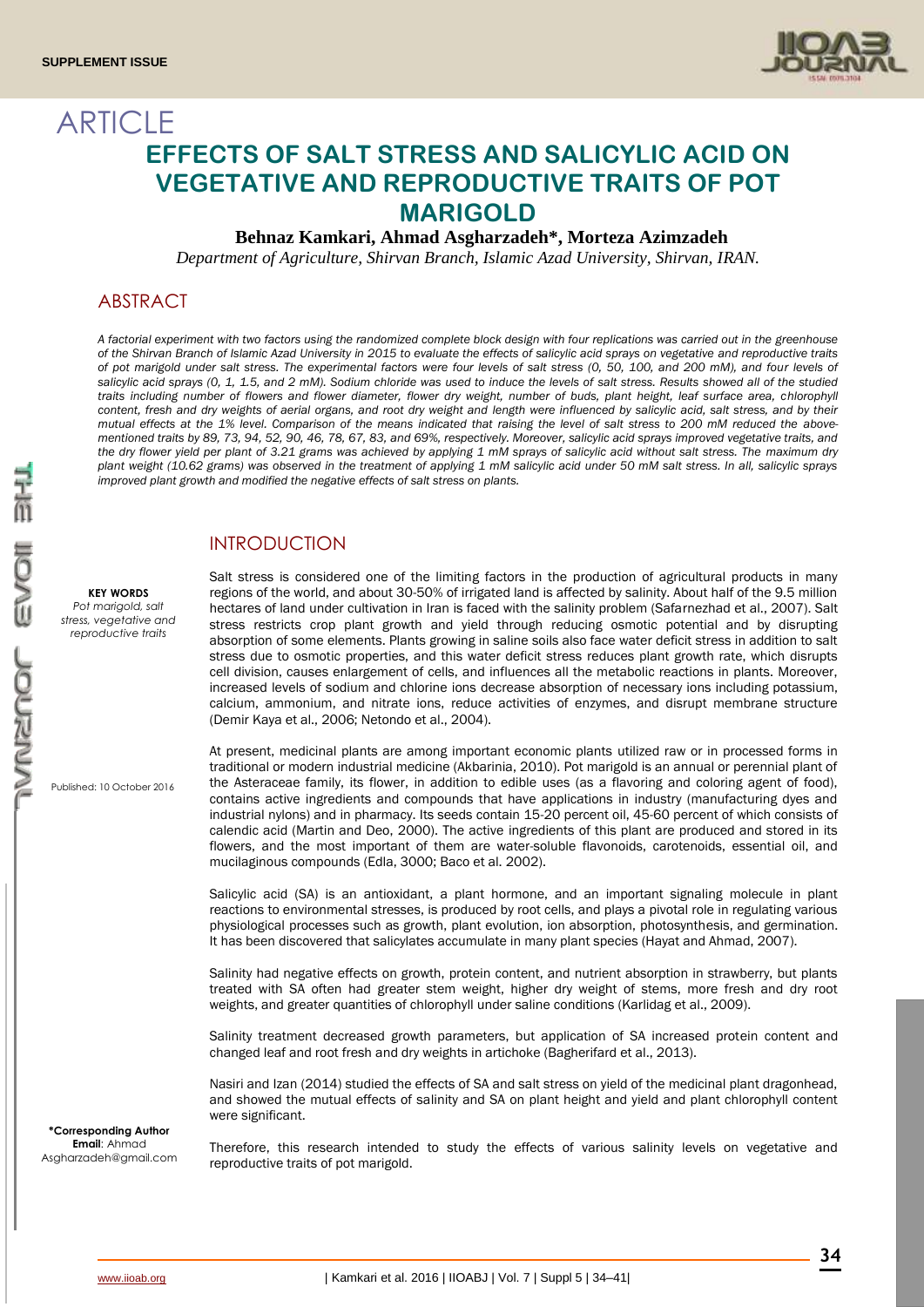**ARTICLE** 



# **EFFECTS OF SALT STRESS AND SALICYLIC ACID ON VEGETATIVE AND REPRODUCTIVE TRAITS OF POT MARIGOLD**

## **Behnaz Kamkari, Ahmad Asgharzadeh\*, Morteza Azimzadeh**

*Department of Agriculture, Shirvan Branch, Islamic Azad University, Shirvan, IRAN.*

## ABSTRACT

*A factorial experiment with two factors using the randomized complete block design with four replications was carried out in the greenhouse of the Shirvan Branch of Islamic Azad University in 2015 to evaluate the effects of salicylic acid sprays on vegetative and reproductive traits of pot marigold under salt stress. The experimental factors were four levels of salt stress (0, 50, 100, and 200 mM), and four levels of salicylic acid sprays (0, 1, 1.5, and 2 mM). Sodium chloride was used to induce the levels of salt stress. Results showed all of the studied*  traits including number of flowers and flower diameter, flower dry weight, number of buds, plant height, leaf surface area, chlorophyll *content, fresh and dry weights of aerial organs, and root dry weight and length were influenced by salicylic acid, salt stress, and by their*  mutual effects at the 1% level. Comparison of the means indicated that raising the level of salt stress to 200 mM reduced the above*mentioned traits by 89, 73, 94, 52, 90, 46, 78, 67, 83, and 69%, respectively. Moreover, salicylic acid sprays improved vegetative traits, and the dry flower yield per plant of 3.21 grams was achieved by applying 1 mM sprays of salicylic acid without salt stress. The maximum dry plant weight (10.62 grams) was observed in the treatment of applying 1 mM salicylic acid under 50 mM salt stress. In all, salicylic sprays improved plant growth and modified the negative effects of salt stress on plants.*

# INTRODUCTION

**KEY WORDS** *Pot marigold, salt stress, vegetative and reproductive traits*

Published: 10 October 2016

Salt stress is considered one of the limiting factors in the production of agricultural products in many regions of the world, and about 30-50% of irrigated land is affected by salinity. About half of the 9.5 million hectares of land under cultivation in Iran is faced with the salinity problem (Safarnezhad et al., 2007). Salt stress restricts crop plant growth and yield through reducing osmotic potential and by disrupting absorption of some elements. Plants growing in saline soils also face water deficit stress in addition to salt stress due to osmotic properties, and this water deficit stress reduces plant growth rate, which disrupts cell division, causes enlargement of cells, and influences all the metabolic reactions in plants. Moreover, increased levels of sodium and chlorine ions decrease absorption of necessary ions including potassium, calcium, ammonium, and nitrate ions, reduce activities of enzymes, and disrupt membrane structure (Demir Kaya et al., 2006; Netondo et al., 2004).

At present, medicinal plants are among important economic plants utilized raw or in processed forms in traditional or modern industrial medicine (Akbarinia, 2010). Pot marigold is an annual or perennial plant of the Asteraceae family, its flower, in addition to edible uses (as a flavoring and coloring agent of food), contains active ingredients and compounds that have applications in industry (manufacturing dyes and industrial nylons) and in pharmacy. Its seeds contain 15-20 percent oil, 45-60 percent of which consists of calendic acid (Martin and Deo, 2000). The active ingredients of this plant are produced and stored in its flowers, and the most important of them are water-soluble flavonoids, carotenoids, essential oil, and mucilaginous compounds (Edla, 3000; Baco et al. 2002).

Salicylic acid (SA) is an antioxidant, a plant hormone, and an important signaling molecule in plant reactions to environmental stresses, is produced by root cells, and plays a pivotal role in regulating various physiological processes such as growth, plant evolution, ion absorption, photosynthesis, and germination. It has been discovered that salicylates accumulate in many plant species (Hayat and Ahmad, 2007).

Salinity had negative effects on growth, protein content, and nutrient absorption in strawberry, but plants treated with SA often had greater stem weight, higher dry weight of stems, more fresh and dry root weights, and greater quantities of chlorophyll under saline conditions (Karlidag et al., 2009).

Salinity treatment decreased growth parameters, but application of SA increased protein content and changed leaf and root fresh and dry weights in artichoke (Bagherifard et al., 2013).

Nasiri and Izan (2014) studied the effects of SA and salt stress on yield of the medicinal plant dragonhead, and showed the mutual effects of salinity and SA on plant height and yield and plant chlorophyll content were significant.

Therefore, this research intended to study the effects of various salinity levels on vegetative and reproductive traits of pot marigold.

**\*Corresponding Author Email**: Ahmad Asgharzadeh@gmail.com

**34**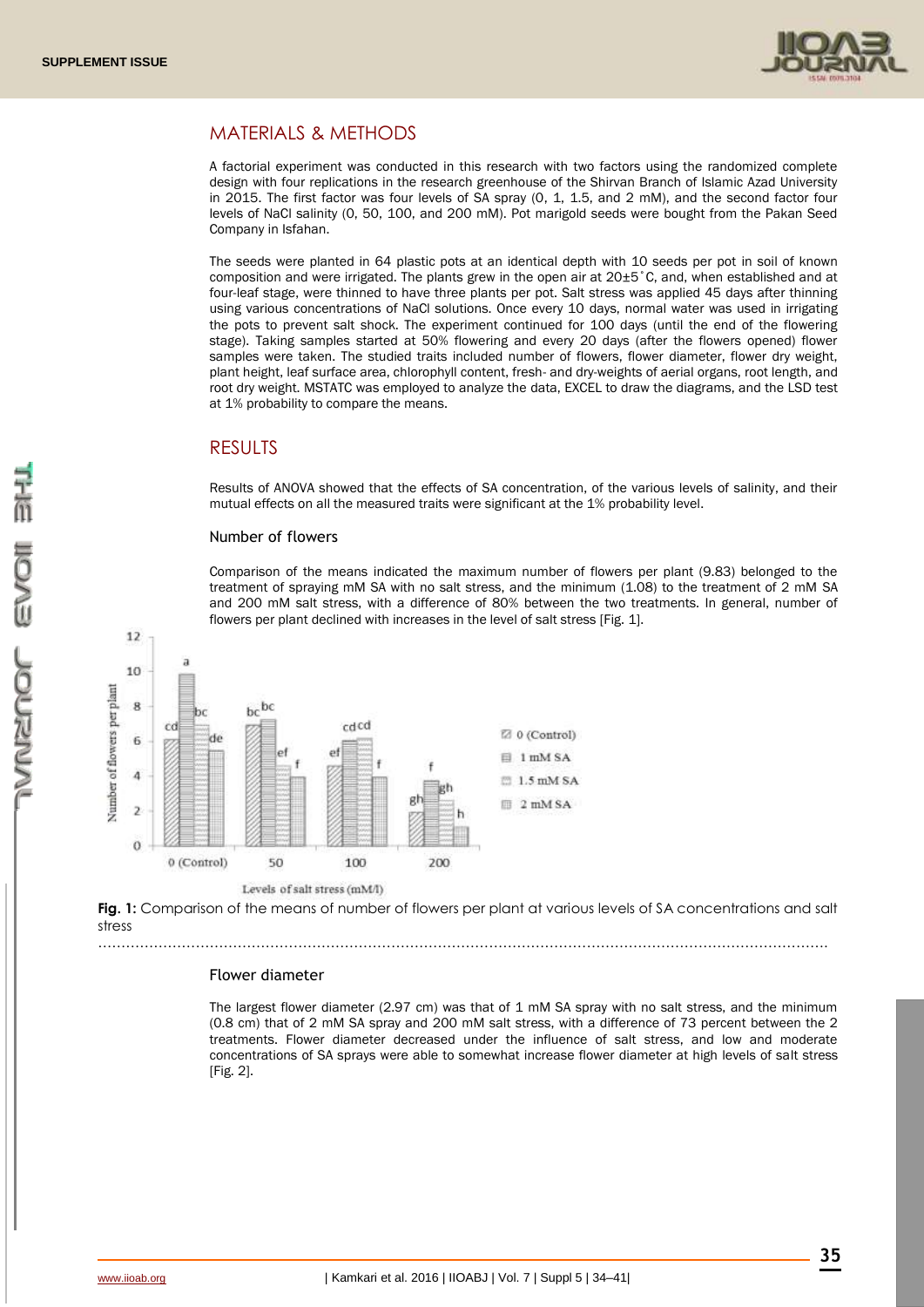

# MATERIALS & METHODS

A factorial experiment was conducted in this research with two factors using the randomized complete design with four replications in the research greenhouse of the Shirvan Branch of Islamic Azad University in 2015. The first factor was four levels of SA spray (0, 1, 1.5, and 2 mM), and the second factor four levels of NaCl salinity (0, 50, 100, and 200 mM). Pot marigold seeds were bought from the Pakan Seed Company in Isfahan.

The seeds were planted in 64 plastic pots at an identical depth with 10 seeds per pot in soil of known composition and were irrigated. The plants grew in the open air at 20±5˚C, and, when established and at four-leaf stage, were thinned to have three plants per pot. Salt stress was applied 45 days after thinning using various concentrations of NaCl solutions. Once every 10 days, normal water was used in irrigating the pots to prevent salt shock. The experiment continued for 100 days (until the end of the flowering stage). Taking samples started at 50% flowering and every 20 days (after the flowers opened) flower samples were taken. The studied traits included number of flowers, flower diameter, flower dry weight, plant height, leaf surface area, chlorophyll content, fresh- and dry-weights of aerial organs, root length, and root dry weight. MSTATC was employed to analyze the data, EXCEL to draw the diagrams, and the LSD test at 1% probability to compare the means.

## RESULTS

Results of ANOVA showed that the effects of SA concentration, of the various levels of salinity, and their mutual effects on all the measured traits were significant at the 1% probability level.

#### Number of flowers

Comparison of the means indicated the maximum number of flowers per plant (9.83) belonged to the treatment of spraying mM SA with no salt stress, and the minimum (1.08) to the treatment of 2 mM SA and 200 mM salt stress, with a difference of 80% between the two treatments. In general, number of flowers per plant declined with increases in the level of salt stress [Fig. 1].



**Fig. 1:** Comparison of the means of number of flowers per plant at various levels of SA concentrations and salt stress

………………………………………………………………………………………………………………………………………….

#### Flower diameter

The largest flower diameter (2.97 cm) was that of 1 mM SA spray with no salt stress, and the minimum (0.8 cm) that of 2 mM SA spray and 200 mM salt stress, with a difference of 73 percent between the 2 treatments. Flower diameter decreased under the influence of salt stress, and low and moderate concentrations of SA sprays were able to somewhat increase flower diameter at high levels of salt stress [Fig. 2].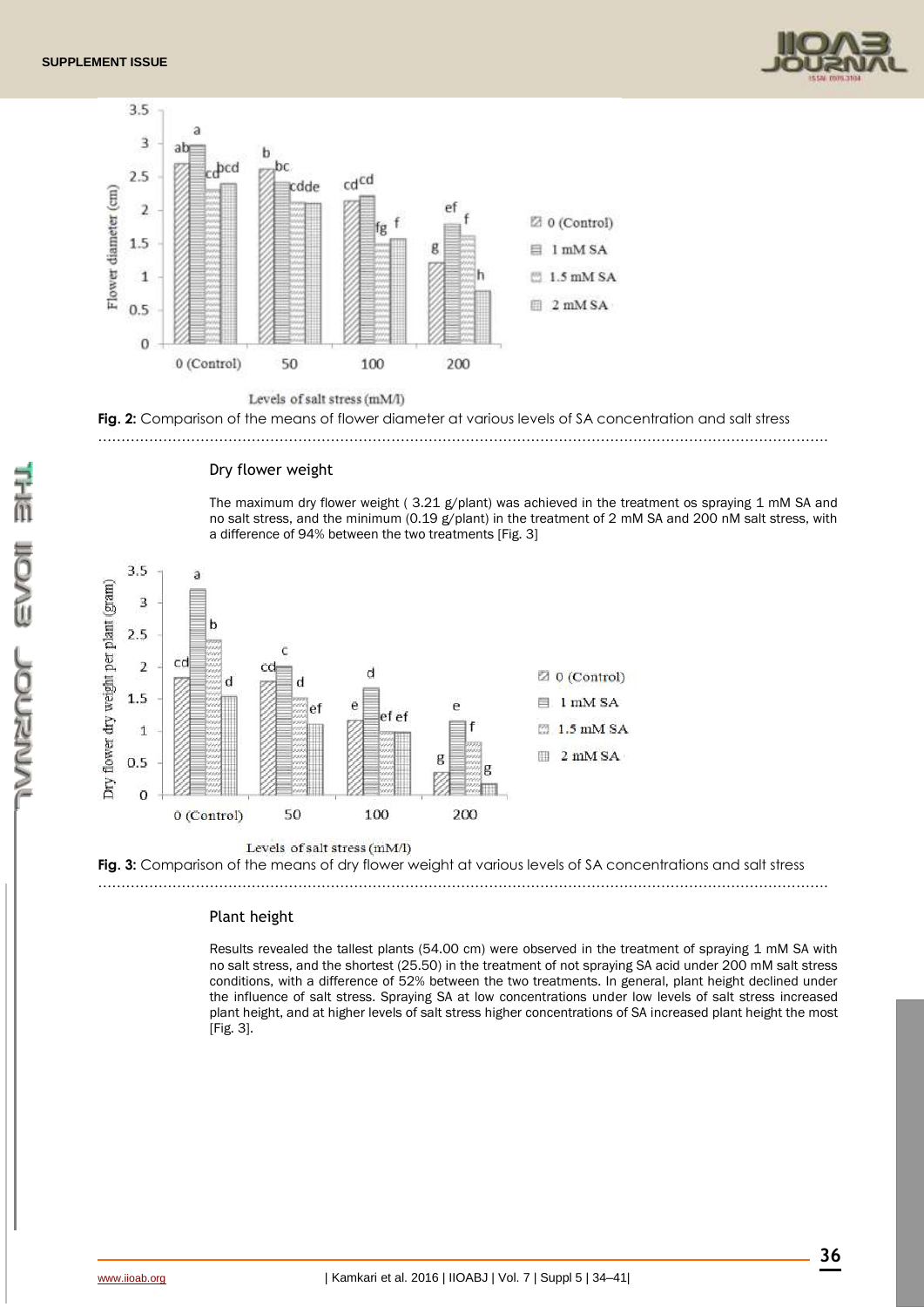







### Dry flower weight

The maximum dry flower weight (3.21 g/plant) was achieved in the treatment os spraying 1 mM SA and no salt stress, and the minimum (0.19 g/plant) in the treatment of 2 mM SA and 200 nM salt stress, with a difference of 94% between the two treatments [Fig. 3]



**Fig. 3:** Comparison of the means of dry flower weight at various levels of SA concentrations and salt stress

………………………………………………………………………………………………………………………………………….

#### Plant height

Results revealed the tallest plants (54.00 cm) were observed in the treatment of spraying 1 mM SA with no salt stress, and the shortest (25.50) in the treatment of not spraying SA acid under 200 mM salt stress conditions, with a difference of 52% between the two treatments. In general, plant height declined under the influence of salt stress. Spraying SA at low concentrations under low levels of salt stress increased plant height, and at higher levels of salt stress higher concentrations of SA increased plant height the most [Fig. 3].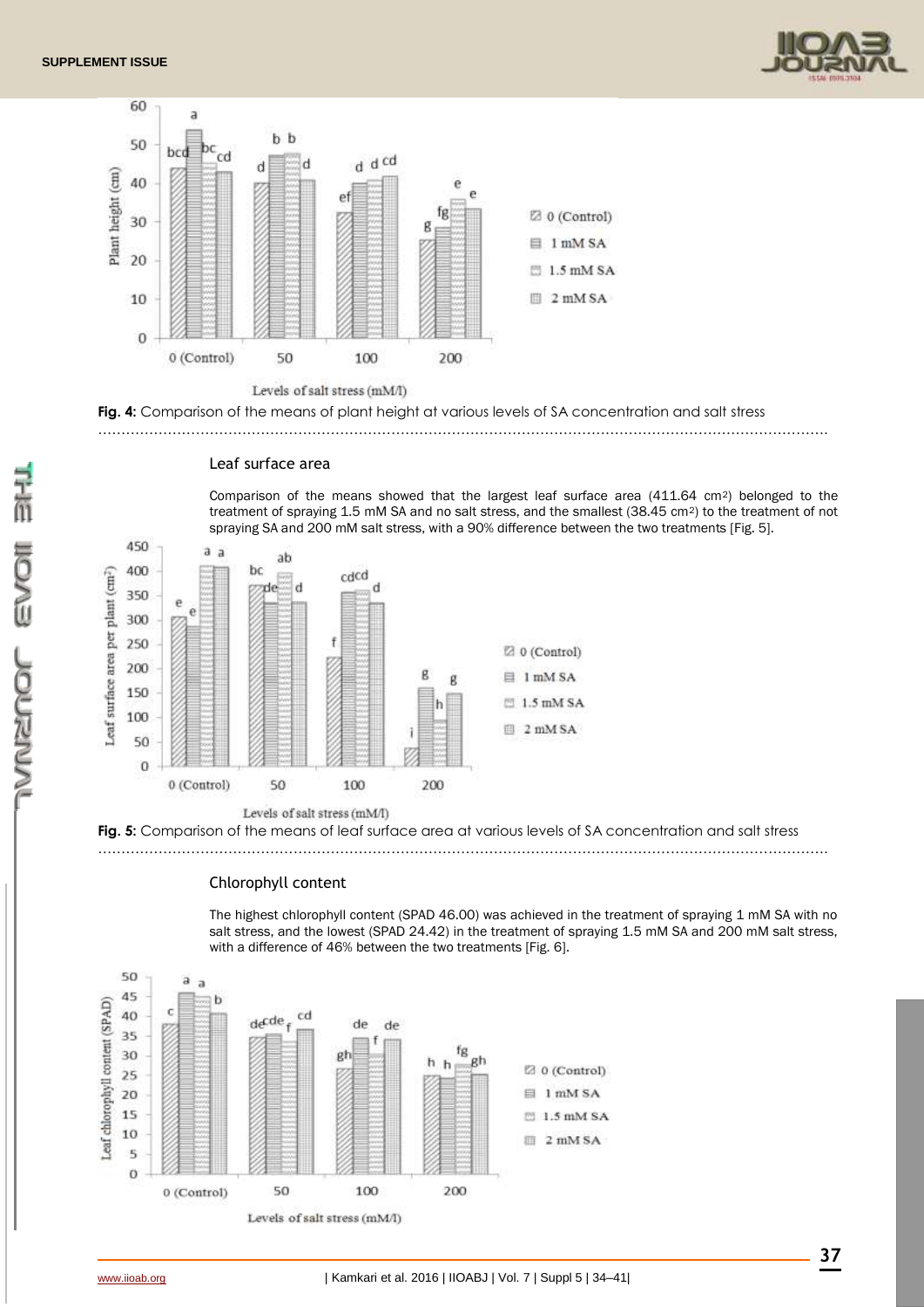



**Fig. 4:** Comparison of the means of plant height at various levels of SA concentration and salt stress

………………………………………………………………………………………………………………………………………….



#### Leaf surface area

Comparison of the means showed that the largest leaf surface area (411.64 cm<sup>2</sup>) belonged to the treatment of spraying 1.5 mM SA and no salt stress, and the smallest (38.45 cm<sup>2</sup>) to the treatment of not spraying SA and 200 mM salt stress, with a 90% difference between the two treatments [Fig. 5].



## Chlorophyll content

The highest chlorophyll content (SPAD 46.00) was achieved in the treatment of spraying 1 mM SA with no salt stress, and the lowest (SPAD 24.42) in the treatment of spraying 1.5 mM SA and 200 mM salt stress, with a difference of 46% between the two treatments [Fig. 6].

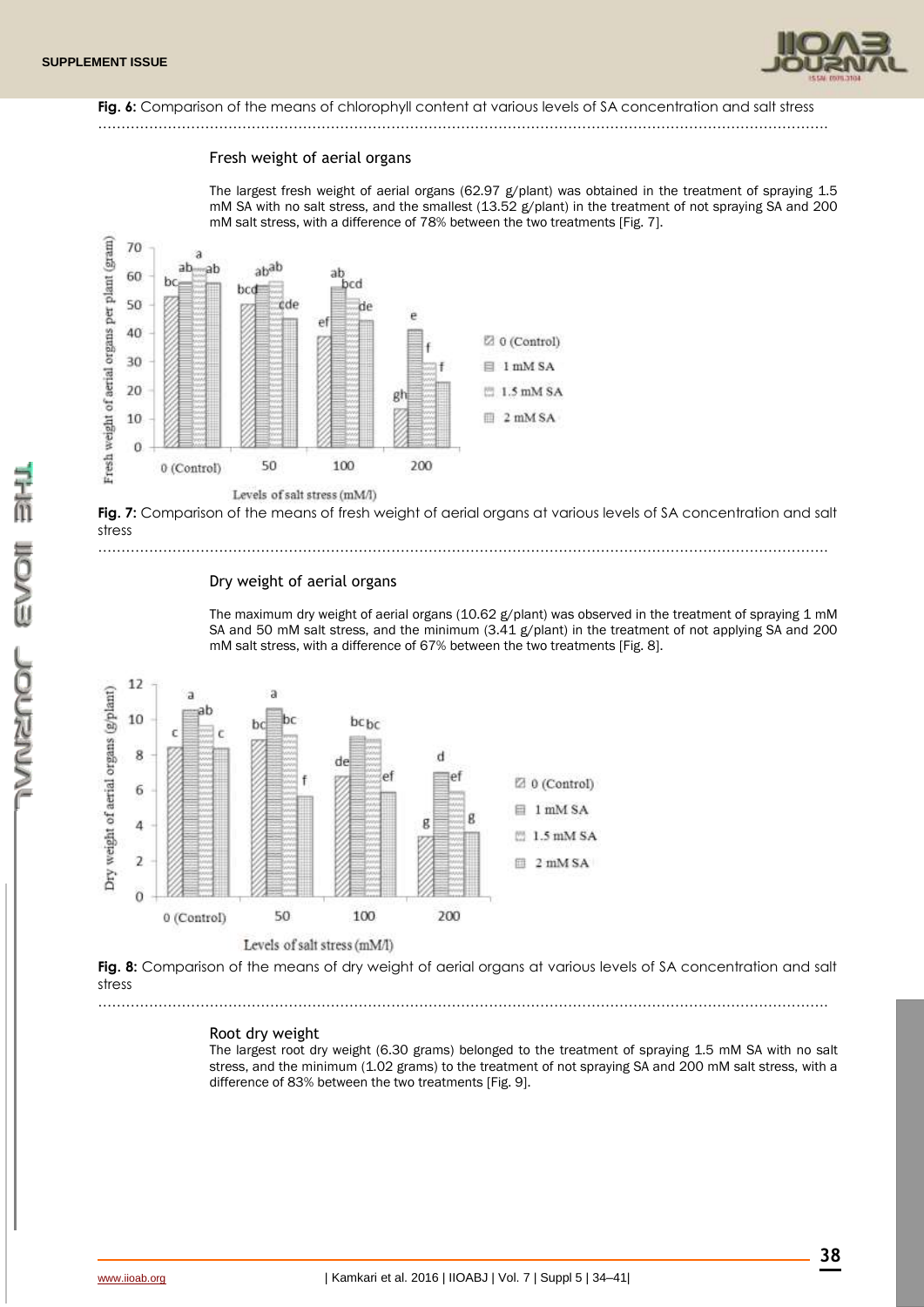

## Fig. 6: Comparison of the means of chlorophyll content at various levels of SA concentration and salt stress

# ………………………………………………………………………………………………………………………………………….

#### Fresh weight of aerial organs

The largest fresh weight of aerial organs (62.97 g/plant) was obtained in the treatment of spraying 1.5 mM SA with no salt stress, and the smallest (13.52 g/plant) in the treatment of not spraying SA and 200 mM salt stress, with a difference of 78% between the two treatments [Fig. 7].



**Fig. 7:** Comparison of the means of fresh weight of aerial organs at various levels of SA concentration and salt stress

………………………………………………………………………………………………………………………………………….

#### Dry weight of aerial organs

The maximum dry weight of aerial organs (10.62 g/plant) was observed in the treatment of spraying 1 mM SA and 50 mM salt stress, and the minimum (3.41 g/plant) in the treatment of not applying SA and 200 mM salt stress, with a difference of 67% between the two treatments [Fig. 8].



**Fig. 8:** Comparison of the means of dry weight of aerial organs at various levels of SA concentration and salt stress ………………………………………………………………………………………………………………………………………….

#### Root dry weight

The largest root dry weight (6.30 grams) belonged to the treatment of spraying 1.5 mM SA with no salt stress, and the minimum (1.02 grams) to the treatment of not spraying SA and 200 mM salt stress, with a difference of 83% between the two treatments [Fig. 9].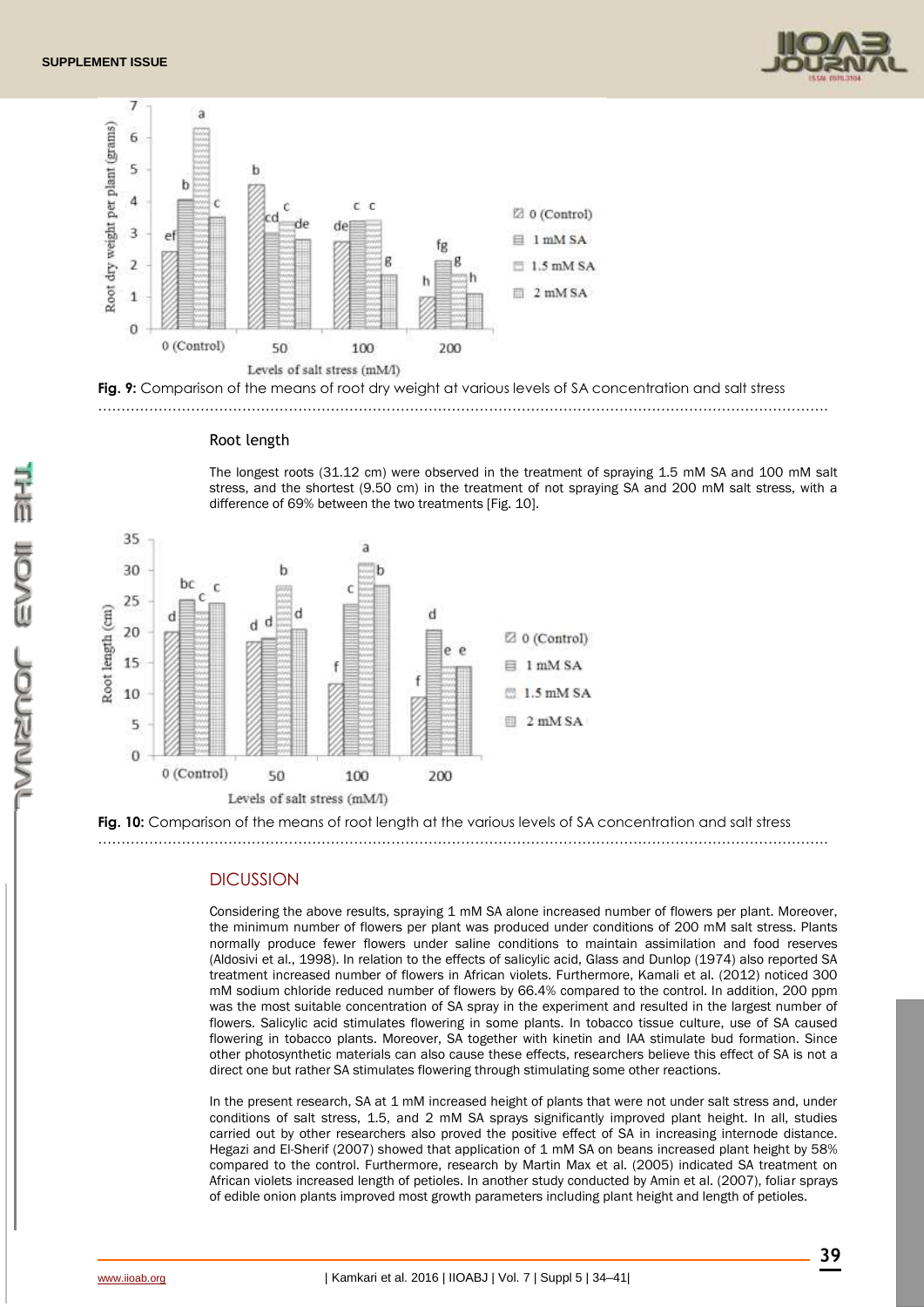





#### Root length

The longest roots (31.12 cm) were observed in the treatment of spraying 1.5 mM SA and 100 mM salt stress, and the shortest (9.50 cm) in the treatment of not spraying SA and 200 mM salt stress, with a difference of 69% between the two treatments [Fig. 10].



**Fig. 10:** Comparison of the means of root length at the various levels of SA concentration and salt stress ………………………………………………………………………………………………………………………………………….

### **DICUSSION**

Considering the above results, spraying 1 mM SA alone increased number of flowers per plant. Moreover, the minimum number of flowers per plant was produced under conditions of 200 mM salt stress. Plants normally produce fewer flowers under saline conditions to maintain assimilation and food reserves (Aldosivi et al., 1998). In relation to the effects of salicylic acid, Glass and Dunlop (1974) also reported SA treatment increased number of flowers in African violets. Furthermore, Kamali et al. (2012) noticed 300 mM sodium chloride reduced number of flowers by 66.4% compared to the control. In addition, 200 ppm was the most suitable concentration of SA spray in the experiment and resulted in the largest number of flowers. Salicylic acid stimulates flowering in some plants. In tobacco tissue culture, use of SA caused flowering in tobacco plants. Moreover, SA together with kinetin and IAA stimulate bud formation. Since other photosynthetic materials can also cause these effects, researchers believe this effect of SA is not a direct one but rather SA stimulates flowering through stimulating some other reactions.

In the present research, SA at 1 mM increased height of plants that were not under salt stress and, under conditions of salt stress, 1.5, and 2 mM SA sprays significantly improved plant height. In all, studies carried out by other researchers also proved the positive effect of SA in increasing internode distance. Hegazi and El-Sherif (2007) showed that application of 1 mM SA on beans increased plant height by 58% compared to the control. Furthermore, research by Martin Max et al. (2005) indicated SA treatment on African violets increased length of petioles. In another study conducted by Amin et al. (2007), foliar sprays of edible onion plants improved most growth parameters including plant height and length of petioles.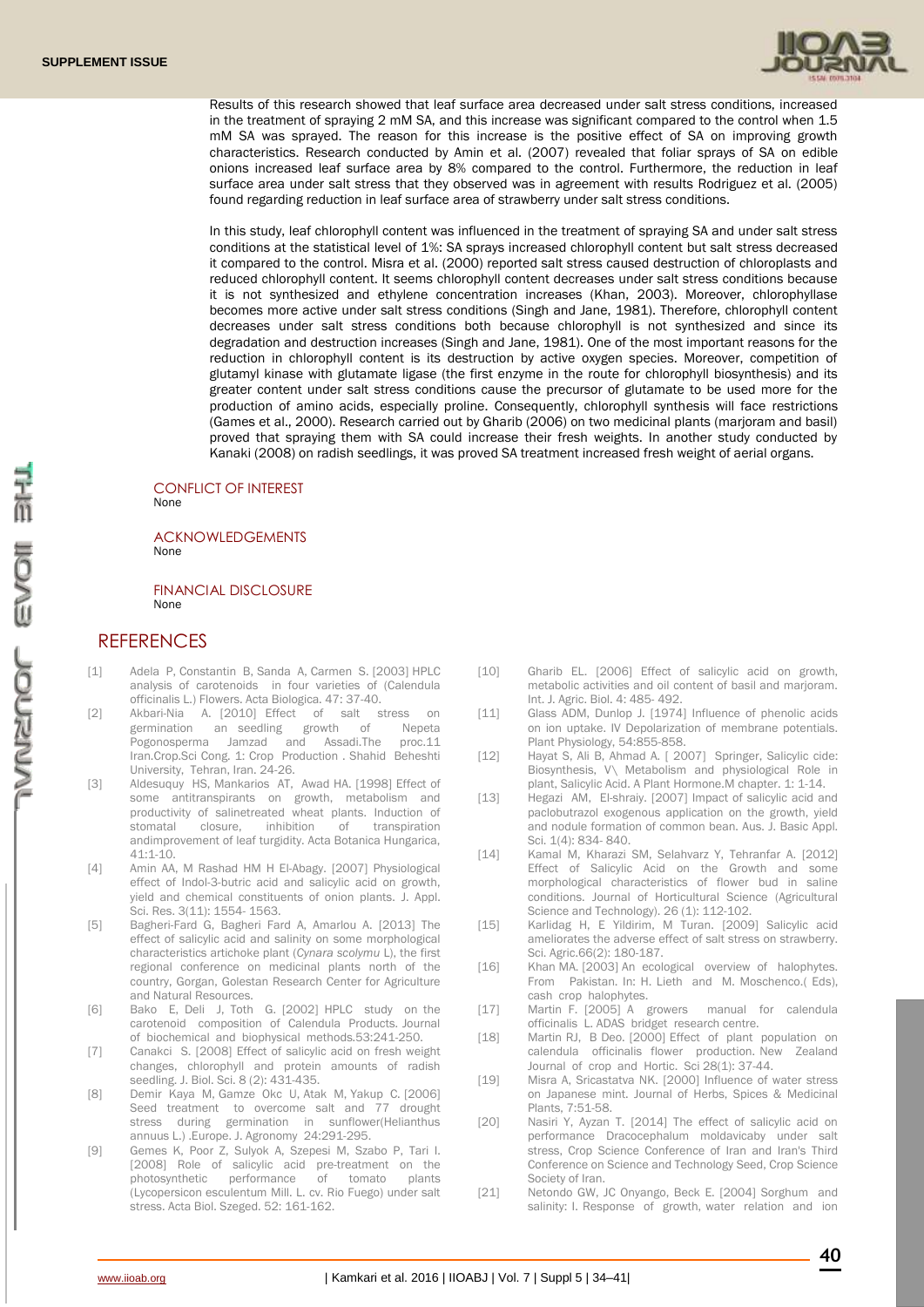

Results of this research showed that leaf surface area decreased under salt stress conditions, increased in the treatment of spraying 2 mM SA, and this increase was significant compared to the control when 1.5 mM SA was sprayed. The reason for this increase is the positive effect of SA on improving growth characteristics. Research conducted by Amin et al. (2007) revealed that foliar sprays of SA on edible onions increased leaf surface area by 8% compared to the control. Furthermore, the reduction in leaf surface area under salt stress that they observed was in agreement with results Rodriguez et al. (2005) found regarding reduction in leaf surface area of strawberry under salt stress conditions.

In this study, leaf chlorophyll content was influenced in the treatment of spraying SA and under salt stress conditions at the statistical level of 1%: SA sprays increased chlorophyll content but salt stress decreased it compared to the control. Misra et al. (2000) reported salt stress caused destruction of chloroplasts and reduced chlorophyll content. It seems chlorophyll content decreases under salt stress conditions because it is not synthesized and ethylene concentration increases (Khan, 2003). Moreover, chlorophyllase becomes more active under salt stress conditions (Singh and Jane, 1981). Therefore, chlorophyll content decreases under salt stress conditions both because chlorophyll is not synthesized and since its degradation and destruction increases (Singh and Jane, 1981). One of the most important reasons for the reduction in chlorophyll content is its destruction by active oxygen species. Moreover, competition of glutamyl kinase with glutamate ligase (the first enzyme in the route for chlorophyll biosynthesis) and its greater content under salt stress conditions cause the precursor of glutamate to be used more for the production of amino acids, especially proline. Consequently, chlorophyll synthesis will face restrictions (Games et al., 2000). Research carried out by Gharib (2006) on two medicinal plants (marjoram and basil) proved that spraying them with SA could increase their fresh weights. In another study conducted by Kanaki (2008) on radish seedlings, it was proved SA treatment increased fresh weight of aerial organs.

#### CONFLICT OF INTEREST None

#### ACKNOWLEDGEMENTS None

FINANCIAL DISCLOSURE None

## **REFERENCES**

- [1] Adela P, Constantin B, Sanda A, Carmen S. [2003] HPLC analysis of carotenoids in four varieties of (Calendula officinalis L.) Flowers. Acta Biologica. 47: 37-40.
- [2] Akbari-Nia A. [2010] Effect of salt stress germination an seedling growth of Nepeta Pogonosperma Jamzad and Assadi.The proc.11 Iran.Crop.Sci Cong. 1: Crop Production . Shahid Beheshti University, Tehran, Iran. 24-26.
- [3] Aldesuquy HS, Mankarios AT, Awad HA. [1998] Effect of some antitranspirants on growth, metabolism and productivity of salinetreated wheat plants. Induction of stomatal closure, inhibition of transpiration andimprovement of leaf turgidity. Acta Botanica Hungarica, 41:1-10.
- [4] Amin AA, M Rashad HM H El-Abagy. [2007] Physiological effect of Indol-3-butric acid and salicylic acid on growth, yield and chemical constituents of onion plants. J. Appl. Sci. Res. 3(11): 1554- 1563.
- [5] Bagheri-Fard G, Bagheri Fard A, Amarlou A. [2013] The effect of salicylic acid and salinity on some morphological characteristics artichoke plant (*Cynara scolymu* L), the first regional conference on medicinal plants north of the country, Gorgan, Golestan Research Center for Agriculture and Natural Resources.
- [6] Bako E, Deli J, Toth G. [2002] HPLC study on the carotenoid composition of Calendula Products. Journal of biochemical and biophysical methods.53:241-250.
- [7] Canakci S. [2008] Effect of salicylic acid on fresh weight changes, chlorophyll and protein amounts of radish seedling. J. Biol. Sci. 8 (2): 431-435.
- [8] Demir Kaya M, Gamze Okc U, Atak M, Yakup C. [2006] Seed treatment to overcome salt and 77 drought stress during germination in sunflower(Helianthus annuus L.) .Europe. J. Agronomy 24:291-295.
- [9] Gemes K, Poor Z, Sulyok A, Szepesi M, Szabo P, Tari I. [2008] Role of salicylic acid pre-treatment on the photosynthetic performance of tomato plants (Lycopersicon esculentum Mill. L. cv. Rio Fuego) under salt stress. Acta Biol. Szeged. 52: 161-162.
- [10] Gharib EL. [2006] Effect of salicylic acid on growth, metabolic activities and oil content of basil and marjoram. Int. J. Agric. Biol. 4: 485- 492.
- [11] Glass ADM, Dunlop J. [1974] Influence of phenolic acids on ion uptake. IV Depolarization of membrane potentials. Plant Physiology, 54:855-858.
- [12] Hayat S, Ali B, Ahmad A. [ 2007] Springer, Salicylic cide: Biosynthesis, V\ Metabolism and physiological Role in plant, Salicylic Acid. A Plant Hormone.M chapter. 1: 1-14.
- [13] Hegazi AM, El-shraiy. [2007] Impact of salicylic acid and paclobutrazol exogenous application on the growth, yield and nodule formation of common bean. Aus. J. Basic Appl. Sci. 1(4): 834- 840.
- [14] Kamal M, Kharazi SM, Selahvarz Y, Tehranfar A. [2012] Effect of Salicylic Acid on the Growth and some morphological characteristics of flower bud in saline conditions. Journal of Horticultural Science (Agricultural Science and Technology). 26 (1): 112-102.
- [15] Karlidag H, E Yildirim, M Turan. [2009] Salicylic acid ameliorates the adverse effect of salt stress on strawberry. Sci. Agric.66(2): 180-187.
- [16] Khan MA. [2003] An ecological overview of halophytes. From Pakistan. In: H. Lieth and M. Moschenco.( Eds), cash crop halophytes.
- [17] Martin F. [2005] A growers manual for calendula officinalis L. ADAS bridget research centre.
- [18] Martin RJ, B Deo. [2000] Effect of plant population on calendula officinalis flower production. New Zealand Journal of crop and Hortic. Sci 28(1): 37-44.
- [19] Misra A, Sricastatva NK. [2000] Influence of water stress on Japanese mint. Journal of Herbs, Spices & Medicinal Plants, 7:51-58.
- [20] Nasiri Y, Ayzan T. [2014] The effect of salicylic acid on performance Dracocephalum moldavicaby under salt stress, Crop Science Conference of Iran and Iran's Third Conference on Science and Technology Seed, Crop Science Society of Iran.
- [21] Netondo GW, JC Onyango, Beck E. [2004] Sorghum and salinity: I. Response of growth, water relation and ion

**40**